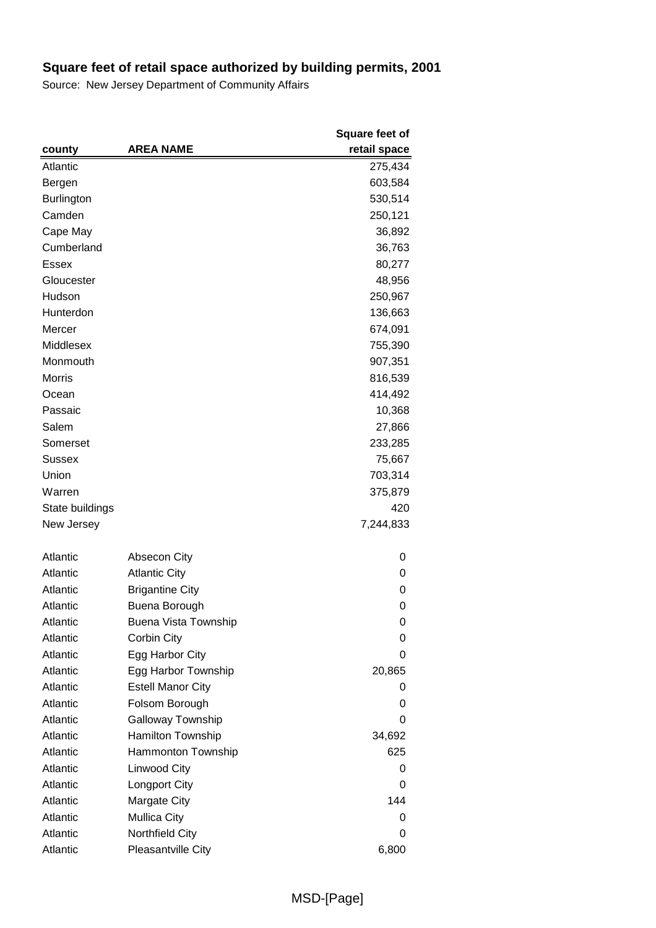|                   |                             | <b>Square feet of</b> |
|-------------------|-----------------------------|-----------------------|
| county            | <b>AREA NAME</b>            | retail space          |
| Atlantic          |                             | 275,434               |
| Bergen            |                             | 603,584               |
| <b>Burlington</b> |                             | 530,514               |
| Camden            |                             | 250,121               |
| Cape May          |                             | 36,892                |
| Cumberland        |                             | 36,763                |
| Essex             |                             | 80,277                |
| Gloucester        |                             | 48,956                |
| Hudson            |                             | 250,967               |
| Hunterdon         |                             | 136,663               |
| Mercer            |                             | 674,091               |
| Middlesex         |                             | 755,390               |
| Monmouth          |                             | 907,351               |
| <b>Morris</b>     |                             | 816,539               |
| Ocean             |                             | 414,492               |
| Passaic           |                             | 10,368                |
| Salem             |                             | 27,866                |
| Somerset          |                             | 233,285               |
| Sussex            |                             | 75,667                |
| Union             |                             | 703,314               |
| Warren            |                             | 375,879               |
| State buildings   |                             | 420                   |
| New Jersey        |                             | 7,244,833             |
|                   |                             |                       |
| Atlantic          | Absecon City                | 0                     |
| Atlantic          | <b>Atlantic City</b>        | 0                     |
| Atlantic          | <b>Brigantine City</b>      | 0                     |
| Atlantic          | Buena Borough               | 0                     |
| Atlantic          | <b>Buena Vista Township</b> | 0                     |
| Atlantic          | Corbin City                 | 0                     |
| Atlantic          | Egg Harbor City             | 0                     |
| Atlantic          | Egg Harbor Township         | 20,865                |
| Atlantic          | <b>Estell Manor City</b>    | 0                     |
| Atlantic          | Folsom Borough              | 0                     |
| Atlantic          | Galloway Township           | 0                     |
| Atlantic          | Hamilton Township           | 34,692                |
| Atlantic          | Hammonton Township          | 625                   |
| Atlantic          | Linwood City                | 0                     |
| Atlantic          | Longport City               | 0                     |
| Atlantic          | Margate City                | 144                   |
| Atlantic          | <b>Mullica City</b>         | 0                     |
| Atlantic          | Northfield City             | 0                     |
| Atlantic          | Pleasantville City          | 6,800                 |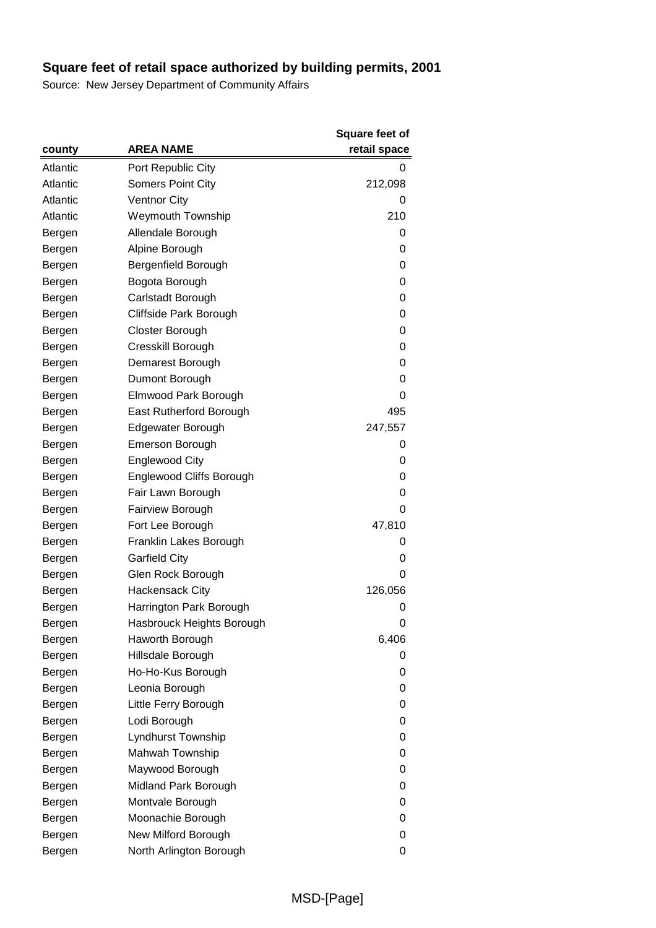|          |                           | <b>Square feet of</b> |
|----------|---------------------------|-----------------------|
| county   | <b>AREA NAME</b>          | retail space          |
| Atlantic | Port Republic City        | 0                     |
| Atlantic | <b>Somers Point City</b>  | 212,098               |
| Atlantic | <b>Ventnor City</b>       | 0                     |
| Atlantic | <b>Weymouth Township</b>  | 210                   |
| Bergen   | Allendale Borough         | 0                     |
| Bergen   | Alpine Borough            | 0                     |
| Bergen   | Bergenfield Borough       | 0                     |
| Bergen   | Bogota Borough            | 0                     |
| Bergen   | Carlstadt Borough         | 0                     |
| Bergen   | Cliffside Park Borough    | 0                     |
| Bergen   | Closter Borough           | 0                     |
| Bergen   | Cresskill Borough         | 0                     |
| Bergen   | Demarest Borough          | 0                     |
| Bergen   | Dumont Borough            | 0                     |
| Bergen   | Elmwood Park Borough      | 0                     |
| Bergen   | East Rutherford Borough   | 495                   |
| Bergen   | Edgewater Borough         | 247,557               |
| Bergen   | <b>Emerson Borough</b>    | 0                     |
| Bergen   | <b>Englewood City</b>     | 0                     |
| Bergen   | Englewood Cliffs Borough  | 0                     |
| Bergen   | Fair Lawn Borough         | 0                     |
| Bergen   | <b>Fairview Borough</b>   | 0                     |
| Bergen   | Fort Lee Borough          | 47,810                |
| Bergen   | Franklin Lakes Borough    | 0                     |
| Bergen   | <b>Garfield City</b>      | 0                     |
| Bergen   | Glen Rock Borough         | 0                     |
| Bergen   | <b>Hackensack City</b>    | 126,056               |
| Bergen   | Harrington Park Borough   | 0                     |
| Bergen   | Hasbrouck Heights Borough | 0                     |
| Bergen   | Haworth Borough           | 6,406                 |
| Bergen   | Hillsdale Borough         | 0                     |
| Bergen   | Ho-Ho-Kus Borough         | 0                     |
| Bergen   | Leonia Borough            | 0                     |
| Bergen   | Little Ferry Borough      | 0                     |
| Bergen   | Lodi Borough              | 0                     |
| Bergen   | Lyndhurst Township        | 0                     |
| Bergen   | Mahwah Township           | 0                     |
| Bergen   | Maywood Borough           | 0                     |
| Bergen   | Midland Park Borough      | 0                     |
| Bergen   | Montvale Borough          | 0                     |
| Bergen   | Moonachie Borough         | 0                     |
| Bergen   | New Milford Borough       | 0                     |
| Bergen   | North Arlington Borough   | 0                     |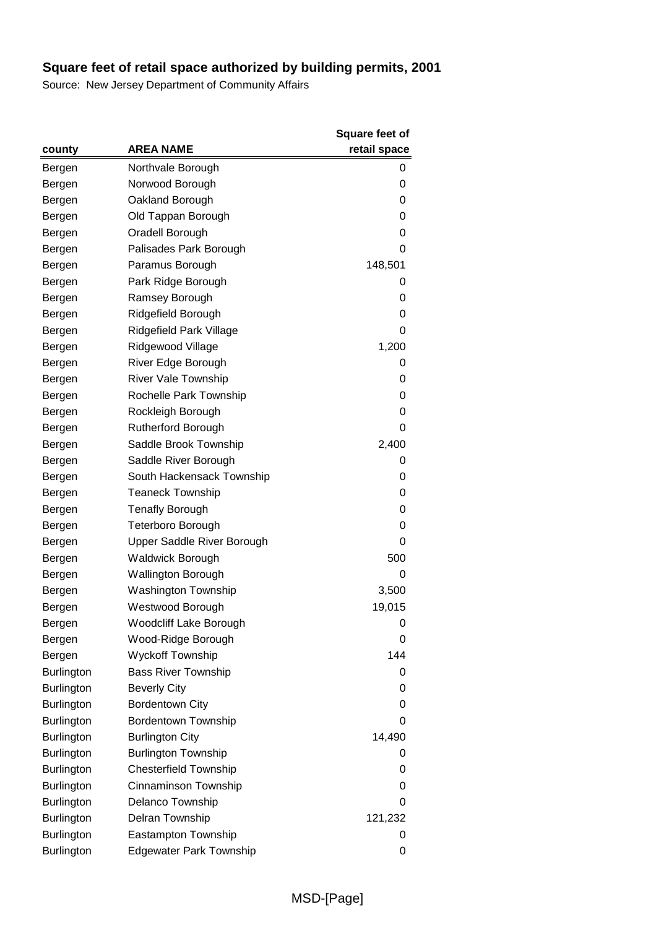|                   |                                | Square feet of |
|-------------------|--------------------------------|----------------|
| county            | <b>AREA NAME</b>               | retail space   |
| Bergen            | Northvale Borough              | 0              |
| Bergen            | Norwood Borough                | 0              |
| Bergen            | Oakland Borough                | 0              |
| Bergen            | Old Tappan Borough             | 0              |
| Bergen            | Oradell Borough                | 0              |
| Bergen            | Palisades Park Borough         | 0              |
| Bergen            | Paramus Borough                | 148,501        |
| Bergen            | Park Ridge Borough             | 0              |
| Bergen            | Ramsey Borough                 | 0              |
| Bergen            | Ridgefield Borough             | 0              |
| Bergen            | Ridgefield Park Village        | 0              |
| Bergen            | Ridgewood Village              | 1,200          |
| Bergen            | River Edge Borough             | 0              |
| Bergen            | River Vale Township            | 0              |
| Bergen            | Rochelle Park Township         | 0              |
| Bergen            | Rockleigh Borough              | 0              |
| Bergen            | <b>Rutherford Borough</b>      | 0              |
| Bergen            | Saddle Brook Township          | 2,400          |
| Bergen            | Saddle River Borough           | 0              |
| Bergen            | South Hackensack Township      | 0              |
| Bergen            | <b>Teaneck Township</b>        | 0              |
| Bergen            | <b>Tenafly Borough</b>         | 0              |
| Bergen            | <b>Teterboro Borough</b>       | 0              |
| Bergen            | Upper Saddle River Borough     | 0              |
| Bergen            | <b>Waldwick Borough</b>        | 500            |
| Bergen            | <b>Wallington Borough</b>      | 0              |
| Bergen            | <b>Washington Township</b>     | 3,500          |
| Bergen            | Westwood Borough               | 19,015         |
| Bergen            | Woodcliff Lake Borough         | 0              |
| Bergen            | Wood-Ridge Borough             | 0              |
| Bergen            | <b>Wyckoff Township</b>        | 144            |
| <b>Burlington</b> | <b>Bass River Township</b>     | 0              |
| <b>Burlington</b> | <b>Beverly City</b>            | 0              |
| <b>Burlington</b> | <b>Bordentown City</b>         | 0              |
| <b>Burlington</b> | <b>Bordentown Township</b>     | 0              |
| <b>Burlington</b> | <b>Burlington City</b>         | 14,490         |
| <b>Burlington</b> | <b>Burlington Township</b>     | 0              |
| <b>Burlington</b> | <b>Chesterfield Township</b>   | 0              |
| <b>Burlington</b> | Cinnaminson Township           | 0              |
| <b>Burlington</b> | Delanco Township               | 0              |
| <b>Burlington</b> | Delran Township                | 121,232        |
| <b>Burlington</b> | Eastampton Township            | 0              |
| Burlington        | <b>Edgewater Park Township</b> | 0              |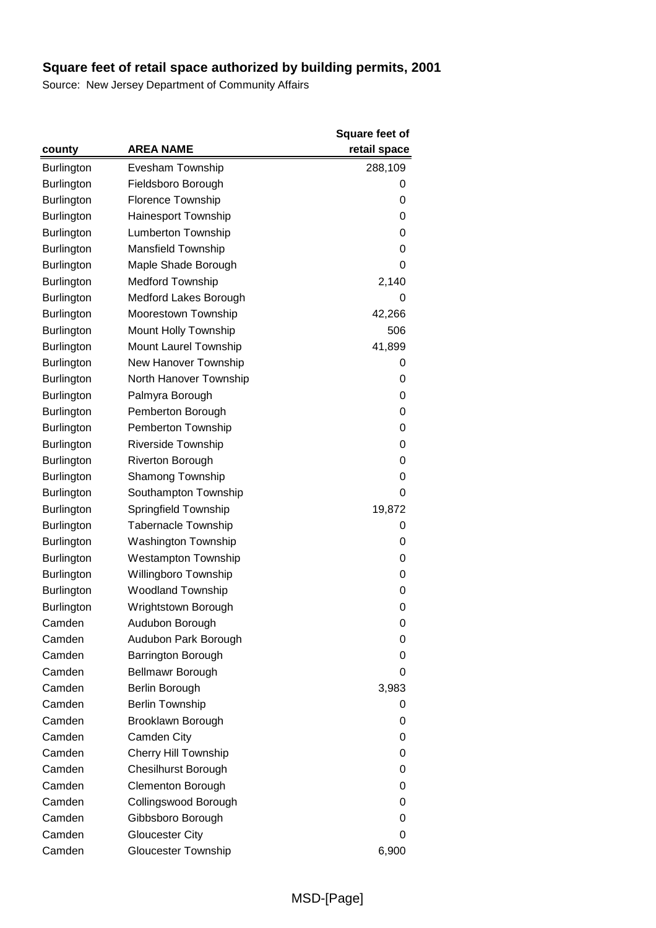|                   |                             | <b>Square feet of</b> |
|-------------------|-----------------------------|-----------------------|
| county            | <b>AREA NAME</b>            | retail space          |
| <b>Burlington</b> | Evesham Township            | 288,109               |
| <b>Burlington</b> | Fieldsboro Borough          | 0                     |
| <b>Burlington</b> | Florence Township           | 0                     |
| <b>Burlington</b> | <b>Hainesport Township</b>  | 0                     |
| <b>Burlington</b> | Lumberton Township          | 0                     |
| <b>Burlington</b> | Mansfield Township          | 0                     |
| <b>Burlington</b> | Maple Shade Borough         | 0                     |
| <b>Burlington</b> | <b>Medford Township</b>     | 2,140                 |
| <b>Burlington</b> | Medford Lakes Borough       | 0                     |
| Burlington        | Moorestown Township         | 42,266                |
| <b>Burlington</b> | Mount Holly Township        | 506                   |
| <b>Burlington</b> | Mount Laurel Township       | 41,899                |
| Burlington        | New Hanover Township        | 0                     |
| <b>Burlington</b> | North Hanover Township      | 0                     |
| Burlington        | Palmyra Borough             | 0                     |
| <b>Burlington</b> | Pemberton Borough           | 0                     |
| <b>Burlington</b> | Pemberton Township          | 0                     |
| <b>Burlington</b> | Riverside Township          | 0                     |
| <b>Burlington</b> | <b>Riverton Borough</b>     | 0                     |
| <b>Burlington</b> | <b>Shamong Township</b>     | 0                     |
| <b>Burlington</b> | Southampton Township        | 0                     |
| <b>Burlington</b> | Springfield Township        | 19,872                |
| Burlington        | <b>Tabernacle Township</b>  | 0                     |
| <b>Burlington</b> | Washington Township         | 0                     |
| <b>Burlington</b> | <b>Westampton Township</b>  | 0                     |
| Burlington        | Willingboro Township        | 0                     |
| <b>Burlington</b> | <b>Woodland Township</b>    | 0                     |
| Burlington        | Wrightstown Borough         | 0                     |
| Camden            | Audubon Borough             | 0                     |
| Camden            | Audubon Park Borough        | 0                     |
| Camden            | Barrington Borough          | 0                     |
| Camden            | Bellmawr Borough            | 0                     |
| Camden            | Berlin Borough              | 3,983                 |
| Camden            | <b>Berlin Township</b>      | 0                     |
| Camden            | Brooklawn Borough           | 0                     |
| Camden            | Camden City                 | 0                     |
| Camden            | <b>Cherry Hill Township</b> | 0                     |
| Camden            | <b>Chesilhurst Borough</b>  | 0                     |
| Camden            | <b>Clementon Borough</b>    | 0                     |
| Camden            | Collingswood Borough        | 0                     |
| Camden            | Gibbsboro Borough           | 0                     |
| Camden            | <b>Gloucester City</b>      | 0                     |
| Camden            | Gloucester Township         | 6,900                 |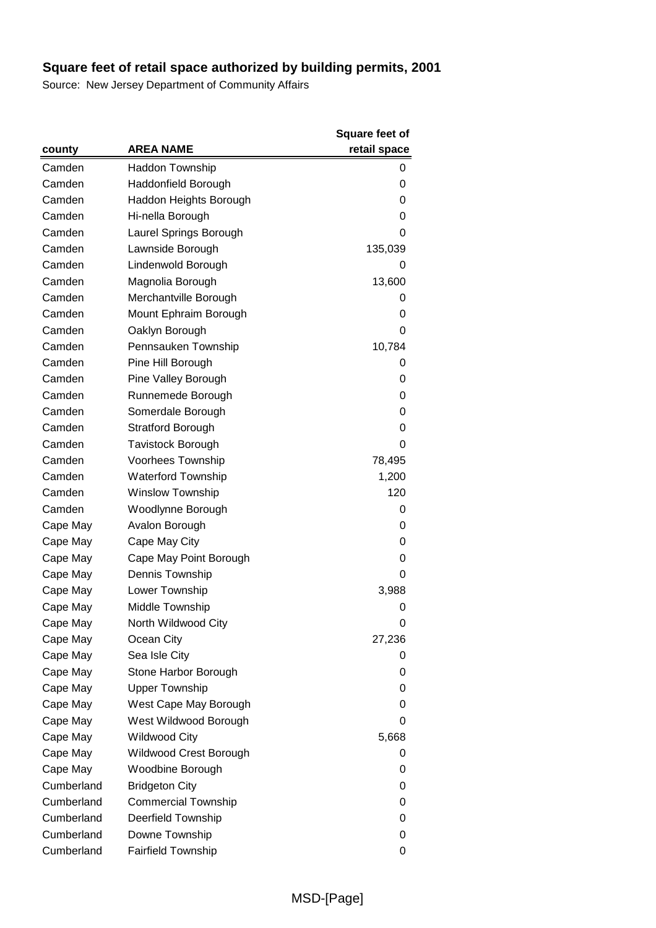|            |                            | Square feet of |
|------------|----------------------------|----------------|
| county     | <b>AREA NAME</b>           | retail space   |
| Camden     | Haddon Township            | 0              |
| Camden     | Haddonfield Borough        | 0              |
| Camden     | Haddon Heights Borough     | 0              |
| Camden     | Hi-nella Borough           | 0              |
| Camden     | Laurel Springs Borough     | $\Omega$       |
| Camden     | Lawnside Borough           | 135,039        |
| Camden     | Lindenwold Borough         | 0              |
| Camden     | Magnolia Borough           | 13,600         |
| Camden     | Merchantville Borough      | 0              |
| Camden     | Mount Ephraim Borough      | 0              |
| Camden     | Oaklyn Borough             | 0              |
| Camden     | Pennsauken Township        | 10,784         |
| Camden     | Pine Hill Borough          | O              |
| Camden     | Pine Valley Borough        | 0              |
| Camden     | Runnemede Borough          | 0              |
| Camden     | Somerdale Borough          | 0              |
| Camden     | <b>Stratford Borough</b>   | 0              |
| Camden     | <b>Tavistock Borough</b>   | 0              |
| Camden     | Voorhees Township          | 78,495         |
| Camden     | <b>Waterford Township</b>  | 1,200          |
| Camden     | <b>Winslow Township</b>    | 120            |
| Camden     | Woodlynne Borough          | 0              |
| Cape May   | Avalon Borough             | 0              |
| Cape May   | Cape May City              | 0              |
| Cape May   | Cape May Point Borough     | 0              |
| Cape May   | Dennis Township            | 0              |
| Cape May   | Lower Township             | 3,988          |
| Cape May   | Middle Township            | 0              |
| Cape May   | North Wildwood City        | 0              |
| Cape May   | Ocean City                 | 27,236         |
| Cape May   | Sea Isle City              | 0              |
| Cape May   | Stone Harbor Borough       | 0              |
| Cape May   | <b>Upper Township</b>      | 0              |
| Cape May   | West Cape May Borough      | 0              |
| Cape May   | West Wildwood Borough      | 0              |
| Cape May   | <b>Wildwood City</b>       | 5,668          |
| Cape May   | Wildwood Crest Borough     | 0              |
| Cape May   | Woodbine Borough           | 0              |
| Cumberland | <b>Bridgeton City</b>      | 0              |
| Cumberland | <b>Commercial Township</b> | 0              |
| Cumberland | Deerfield Township         | 0              |
| Cumberland | Downe Township             | 0              |
| Cumberland | <b>Fairfield Township</b>  | 0              |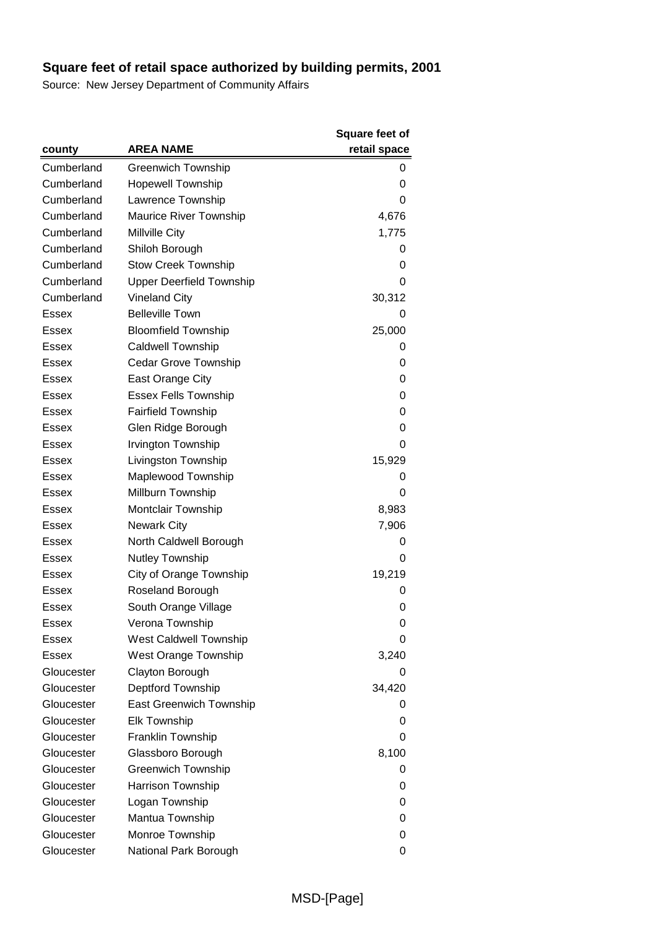|              |                                 | Square feet of |
|--------------|---------------------------------|----------------|
| county       | <b>AREA NAME</b>                | retail space   |
| Cumberland   | <b>Greenwich Township</b>       | 0              |
| Cumberland   | <b>Hopewell Township</b>        | 0              |
| Cumberland   | Lawrence Township               | 0              |
| Cumberland   | <b>Maurice River Township</b>   | 4,676          |
| Cumberland   | Millville City                  | 1,775          |
| Cumberland   | Shiloh Borough                  | 0              |
| Cumberland   | <b>Stow Creek Township</b>      | 0              |
| Cumberland   | <b>Upper Deerfield Township</b> | 0              |
| Cumberland   | <b>Vineland City</b>            | 30,312         |
| Essex        | <b>Belleville Town</b>          | 0              |
| Essex        | <b>Bloomfield Township</b>      | 25,000         |
| Essex        | Caldwell Township               | 0              |
| Essex        | Cedar Grove Township            | 0              |
| <b>Essex</b> | East Orange City                | 0              |
| Essex        | <b>Essex Fells Township</b>     | 0              |
| <b>Essex</b> | <b>Fairfield Township</b>       | 0              |
| Essex        | Glen Ridge Borough              | 0              |
| Essex        | Irvington Township              | 0              |
| Essex        | Livingston Township             | 15,929         |
| Essex        | Maplewood Township              | 0              |
| Essex        | Millburn Township               | 0              |
| Essex        | Montclair Township              | 8,983          |
| Essex        | <b>Newark City</b>              | 7,906          |
| Essex        | North Caldwell Borough          | 0              |
| Essex        | Nutley Township                 | 0              |
| Essex        | City of Orange Township         | 19,219         |
| Essex        | Roseland Borough                | 0              |
| Essex        | South Orange Village            | 0              |
| Essex        | Verona Township                 | 0              |
| Essex        | West Caldwell Township          | 0              |
| <b>Essex</b> | <b>West Orange Township</b>     | 3,240          |
| Gloucester   | Clayton Borough                 | 0              |
| Gloucester   | Deptford Township               | 34,420         |
| Gloucester   | <b>East Greenwich Township</b>  | 0              |
| Gloucester   | <b>Elk Township</b>             | 0              |
| Gloucester   | Franklin Township               | 0              |
| Gloucester   | Glassboro Borough               | 8,100          |
| Gloucester   | <b>Greenwich Township</b>       | 0              |
| Gloucester   | Harrison Township               | 0              |
| Gloucester   | Logan Township                  | 0              |
| Gloucester   | Mantua Township                 | 0              |
| Gloucester   | Monroe Township                 | 0              |
| Gloucester   | National Park Borough           | 0              |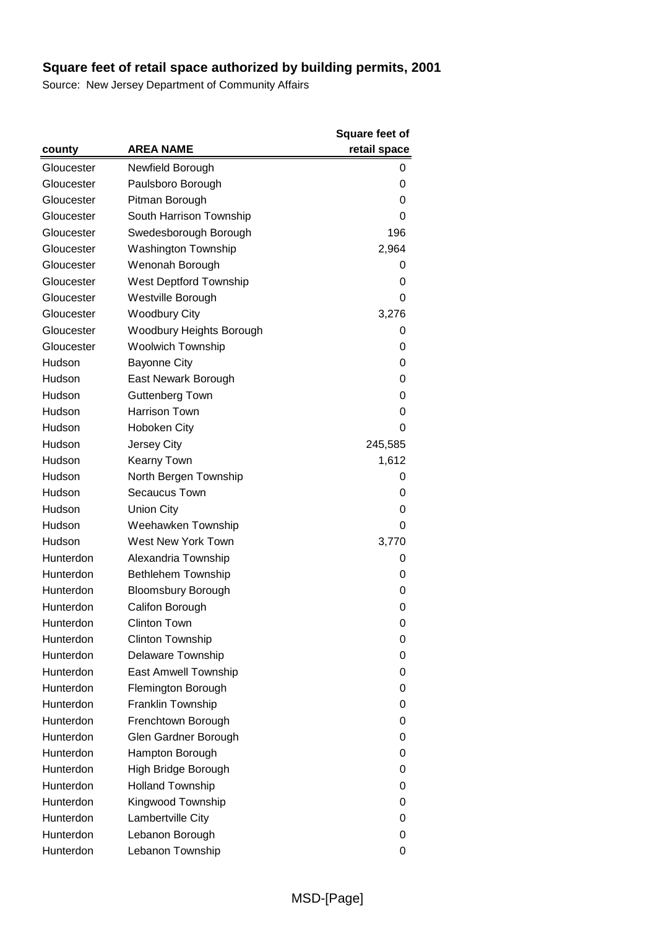|            |                            | Square feet of |
|------------|----------------------------|----------------|
| county     | <b>AREA NAME</b>           | retail space   |
| Gloucester | Newfield Borough           | 0              |
| Gloucester | Paulsboro Borough          | 0              |
| Gloucester | Pitman Borough             | 0              |
| Gloucester | South Harrison Township    | 0              |
| Gloucester | Swedesborough Borough      | 196            |
| Gloucester | <b>Washington Township</b> | 2,964          |
| Gloucester | Wenonah Borough            | 0              |
| Gloucester | West Deptford Township     | 0              |
| Gloucester | Westville Borough          | 0              |
| Gloucester | <b>Woodbury City</b>       | 3,276          |
| Gloucester | Woodbury Heights Borough   | 0              |
| Gloucester | <b>Woolwich Township</b>   | 0              |
| Hudson     | <b>Bayonne City</b>        | 0              |
| Hudson     | East Newark Borough        | 0              |
| Hudson     | <b>Guttenberg Town</b>     | 0              |
| Hudson     | <b>Harrison Town</b>       | 0              |
| Hudson     | <b>Hoboken City</b>        | 0              |
| Hudson     | Jersey City                | 245,585        |
| Hudson     | <b>Kearny Town</b>         | 1,612          |
| Hudson     | North Bergen Township      | 0              |
| Hudson     | Secaucus Town              | 0              |
| Hudson     | <b>Union City</b>          | 0              |
| Hudson     | Weehawken Township         | 0              |
| Hudson     | West New York Town         | 3,770          |
| Hunterdon  | Alexandria Township        | 0              |
| Hunterdon  | Bethlehem Township         | 0              |
| Hunterdon  | <b>Bloomsbury Borough</b>  | 0              |
| Hunterdon  | Califon Borough            | 0              |
| Hunterdon  | Clinton Town               | 0              |
| Hunterdon  | Clinton Township           | 0              |
| Hunterdon  | Delaware Township          | 0              |
| Hunterdon  | East Amwell Township       | 0              |
| Hunterdon  | Flemington Borough         | 0              |
| Hunterdon  | Franklin Township          | 0              |
| Hunterdon  | Frenchtown Borough         | 0              |
| Hunterdon  | Glen Gardner Borough       | 0              |
| Hunterdon  | Hampton Borough            | 0              |
| Hunterdon  | High Bridge Borough        | 0              |
| Hunterdon  | <b>Holland Township</b>    | 0              |
| Hunterdon  | Kingwood Township          | 0              |
| Hunterdon  | Lambertville City          | 0              |
| Hunterdon  | Lebanon Borough            | 0              |
| Hunterdon  | Lebanon Township           | 0              |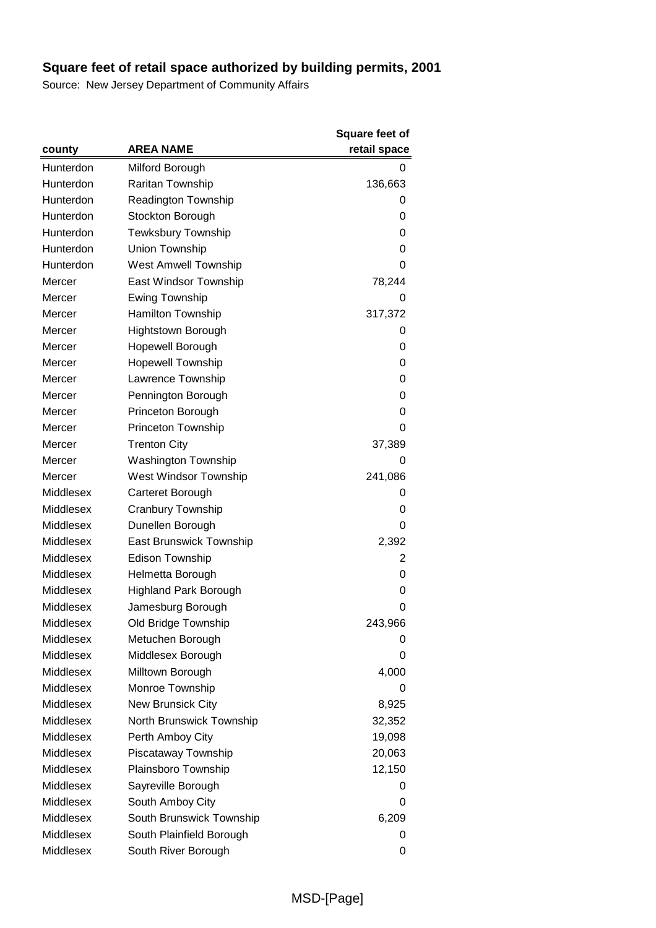|           |                                | <b>Square feet of</b> |
|-----------|--------------------------------|-----------------------|
| county    | <b>AREA NAME</b>               | retail space          |
| Hunterdon | Milford Borough                | 0                     |
| Hunterdon | Raritan Township               | 136,663               |
| Hunterdon | Readington Township            | 0                     |
| Hunterdon | Stockton Borough               | 0                     |
| Hunterdon | <b>Tewksbury Township</b>      | 0                     |
| Hunterdon | Union Township                 | 0                     |
| Hunterdon | <b>West Amwell Township</b>    | 0                     |
| Mercer    | East Windsor Township          | 78,244                |
| Mercer    | <b>Ewing Township</b>          | 0                     |
| Mercer    | Hamilton Township              | 317,372               |
| Mercer    | <b>Hightstown Borough</b>      | 0                     |
| Mercer    | Hopewell Borough               | 0                     |
| Mercer    | <b>Hopewell Township</b>       | 0                     |
| Mercer    | Lawrence Township              | 0                     |
| Mercer    | Pennington Borough             | 0                     |
| Mercer    | Princeton Borough              | 0                     |
| Mercer    | Princeton Township             | 0                     |
| Mercer    | <b>Trenton City</b>            | 37,389                |
| Mercer    | <b>Washington Township</b>     | 0                     |
| Mercer    | West Windsor Township          | 241,086               |
| Middlesex | Carteret Borough               | 0                     |
| Middlesex | Cranbury Township              | 0                     |
| Middlesex | Dunellen Borough               | 0                     |
| Middlesex | <b>East Brunswick Township</b> | 2,392                 |
| Middlesex | <b>Edison Township</b>         | 2                     |
| Middlesex | Helmetta Borough               | 0                     |
| Middlesex | <b>Highland Park Borough</b>   | 0                     |
| Middlesex | Jamesburg Borough              | 0                     |
| Middlesex | Old Bridge Township            | 243,966               |
| Middlesex | Metuchen Borough               | 0                     |
| Middlesex | Middlesex Borough              | 0                     |
| Middlesex | Milltown Borough               | 4,000                 |
| Middlesex | Monroe Township                | 0                     |
| Middlesex | New Brunsick City              | 8,925                 |
| Middlesex | North Brunswick Township       | 32,352                |
| Middlesex | Perth Amboy City               | 19,098                |
| Middlesex | Piscataway Township            | 20,063                |
| Middlesex | Plainsboro Township            | 12,150                |
| Middlesex | Sayreville Borough             | 0                     |
| Middlesex | South Amboy City               | 0                     |
| Middlesex | South Brunswick Township       | 6,209                 |
| Middlesex | South Plainfield Borough       | 0                     |
| Middlesex | South River Borough            | 0                     |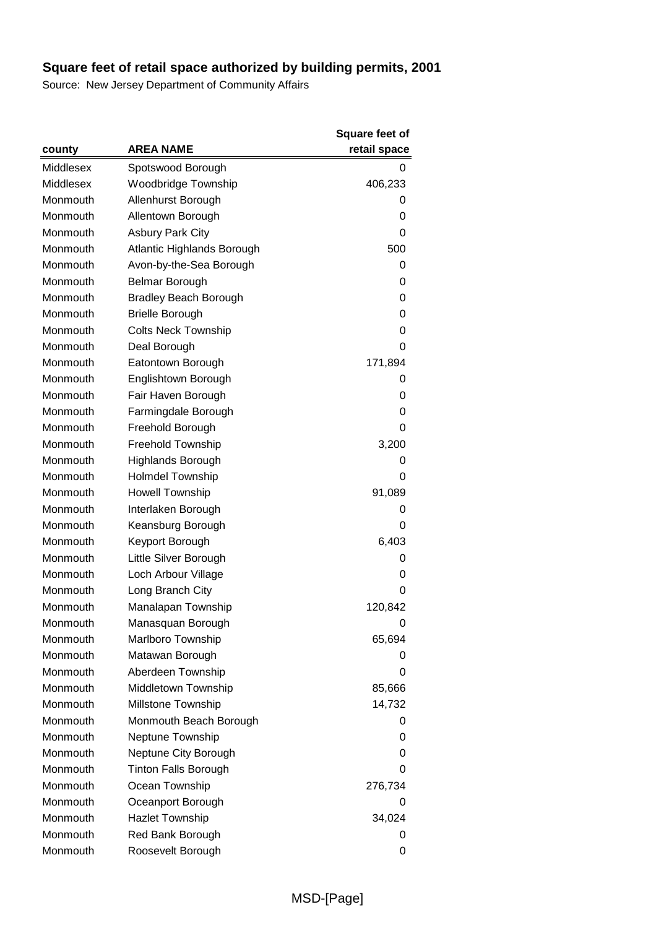|           |                              | <b>Square feet of</b> |
|-----------|------------------------------|-----------------------|
| county    | <b>AREA NAME</b>             | retail space          |
| Middlesex | Spotswood Borough            | 0                     |
| Middlesex | Woodbridge Township          | 406,233               |
| Monmouth  | Allenhurst Borough           | 0                     |
| Monmouth  | Allentown Borough            | 0                     |
| Monmouth  | <b>Asbury Park City</b>      | 0                     |
| Monmouth  | Atlantic Highlands Borough   | 500                   |
| Monmouth  | Avon-by-the-Sea Borough      | 0                     |
| Monmouth  | <b>Belmar Borough</b>        | 0                     |
| Monmouth  | <b>Bradley Beach Borough</b> | 0                     |
| Monmouth  | <b>Brielle Borough</b>       | 0                     |
| Monmouth  | <b>Colts Neck Township</b>   | 0                     |
| Monmouth  | Deal Borough                 | 0                     |
| Monmouth  | Eatontown Borough            | 171,894               |
| Monmouth  | Englishtown Borough          | 0                     |
| Monmouth  | Fair Haven Borough           | 0                     |
| Monmouth  | Farmingdale Borough          | 0                     |
| Monmouth  | Freehold Borough             | 0                     |
| Monmouth  | Freehold Township            | 3,200                 |
| Monmouth  | <b>Highlands Borough</b>     | 0                     |
| Monmouth  | Holmdel Township             | 0                     |
| Monmouth  | <b>Howell Township</b>       | 91,089                |
| Monmouth  | Interlaken Borough           | 0                     |
| Monmouth  | Keansburg Borough            | 0                     |
| Monmouth  | Keyport Borough              | 6,403                 |
| Monmouth  | Little Silver Borough        | 0                     |
| Monmouth  | Loch Arbour Village          | 0                     |
| Monmouth  | Long Branch City             | 0                     |
| Monmouth  | Manalapan Township           | 120,842               |
| Monmouth  | Manasquan Borough            | 0                     |
| Monmouth  | Marlboro Township            | 65,694                |
| Monmouth  | Matawan Borough              | 0                     |
| Monmouth  | Aberdeen Township            | 0                     |
| Monmouth  | Middletown Township          | 85,666                |
| Monmouth  | Millstone Township           | 14,732                |
| Monmouth  | Monmouth Beach Borough       | 0                     |
| Monmouth  | Neptune Township             | 0                     |
| Monmouth  | Neptune City Borough         | 0                     |
| Monmouth  | <b>Tinton Falls Borough</b>  | 0                     |
| Monmouth  | Ocean Township               | 276,734               |
| Monmouth  | Oceanport Borough            | 0                     |
| Monmouth  | <b>Hazlet Township</b>       | 34,024                |
| Monmouth  | Red Bank Borough             | 0                     |
| Monmouth  | Roosevelt Borough            | 0                     |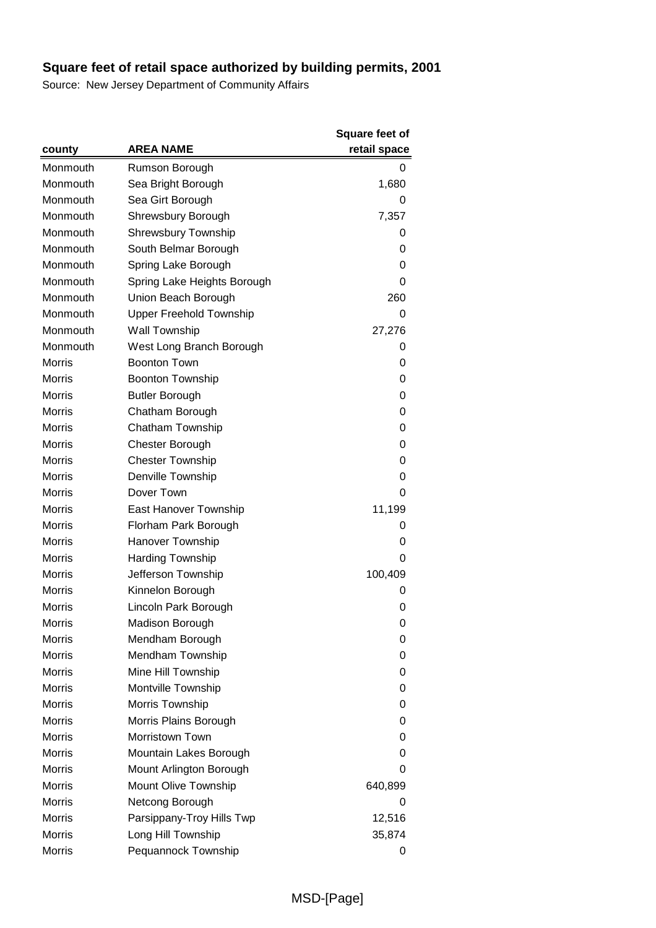|               |                                | Square feet of |
|---------------|--------------------------------|----------------|
| county        | <b>AREA NAME</b>               | retail space   |
| Monmouth      | Rumson Borough                 | 0              |
| Monmouth      | Sea Bright Borough             | 1,680          |
| Monmouth      | Sea Girt Borough               | 0              |
| Monmouth      | Shrewsbury Borough             | 7,357          |
| Monmouth      | <b>Shrewsbury Township</b>     | 0              |
| Monmouth      | South Belmar Borough           | 0              |
| Monmouth      | Spring Lake Borough            | 0              |
| Monmouth      | Spring Lake Heights Borough    | 0              |
| Monmouth      | Union Beach Borough            | 260            |
| Monmouth      | <b>Upper Freehold Township</b> | 0              |
| Monmouth      | Wall Township                  | 27,276         |
| Monmouth      | West Long Branch Borough       | 0              |
| <b>Morris</b> | <b>Boonton Town</b>            | 0              |
| <b>Morris</b> | <b>Boonton Township</b>        | 0              |
| <b>Morris</b> | <b>Butler Borough</b>          | 0              |
| <b>Morris</b> | Chatham Borough                | 0              |
| <b>Morris</b> | <b>Chatham Township</b>        | 0              |
| <b>Morris</b> | Chester Borough                | 0              |
| <b>Morris</b> | <b>Chester Township</b>        | 0              |
| <b>Morris</b> | Denville Township              | 0              |
| <b>Morris</b> | Dover Town                     | 0              |
| <b>Morris</b> | East Hanover Township          | 11,199         |
| <b>Morris</b> | Florham Park Borough           | 0              |
| <b>Morris</b> | Hanover Township               | 0              |
| <b>Morris</b> | <b>Harding Township</b>        | 0              |
| <b>Morris</b> | Jefferson Township             | 100,409        |
| <b>Morris</b> | Kinnelon Borough               | 0              |
| <b>Morris</b> | Lincoln Park Borough           | 0              |
| <b>Morris</b> | Madison Borough                | 0              |
| <b>Morris</b> | Mendham Borough                | 0              |
| <b>Morris</b> | Mendham Township               | 0              |
| <b>Morris</b> | Mine Hill Township             | 0              |
| <b>Morris</b> | Montville Township             | 0              |
| <b>Morris</b> | Morris Township                | 0              |
| <b>Morris</b> | Morris Plains Borough          | 0              |
| <b>Morris</b> | Morristown Town                | 0              |
| <b>Morris</b> | Mountain Lakes Borough         | 0              |
| <b>Morris</b> | Mount Arlington Borough        | 0              |
| <b>Morris</b> | Mount Olive Township           | 640,899        |
| <b>Morris</b> | Netcong Borough                | 0              |
| <b>Morris</b> | Parsippany-Troy Hills Twp      | 12,516         |
| <b>Morris</b> | Long Hill Township             | 35,874         |
| <b>Morris</b> | Pequannock Township            | 0              |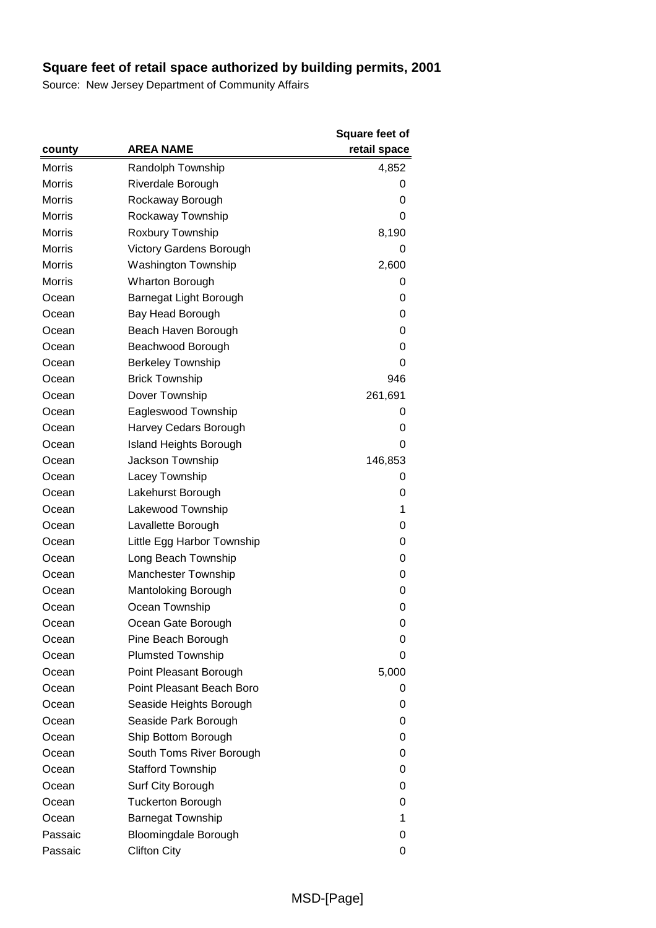|               |                             | <b>Square feet of</b> |
|---------------|-----------------------------|-----------------------|
| county        | <b>AREA NAME</b>            | retail space          |
| <b>Morris</b> | Randolph Township           | 4,852                 |
| <b>Morris</b> | Riverdale Borough           | 0                     |
| <b>Morris</b> | Rockaway Borough            | 0                     |
| <b>Morris</b> | Rockaway Township           | 0                     |
| <b>Morris</b> | Roxbury Township            | 8,190                 |
| <b>Morris</b> | Victory Gardens Borough     | 0                     |
| <b>Morris</b> | <b>Washington Township</b>  | 2,600                 |
| <b>Morris</b> | <b>Wharton Borough</b>      | O                     |
| Ocean         | Barnegat Light Borough      | 0                     |
| Ocean         | Bay Head Borough            | 0                     |
| Ocean         | Beach Haven Borough         | 0                     |
| Ocean         | Beachwood Borough           | 0                     |
| Ocean         | <b>Berkeley Township</b>    | 0                     |
| Ocean         | <b>Brick Township</b>       | 946                   |
| Ocean         | Dover Township              | 261,691               |
| Ocean         | Eagleswood Township         | 0                     |
| Ocean         | Harvey Cedars Borough       | 0                     |
| Ocean         | Island Heights Borough      | 0                     |
| Ocean         | Jackson Township            | 146,853               |
| Ocean         | Lacey Township              | 0                     |
| Ocean         | Lakehurst Borough           | 0                     |
| Ocean         | Lakewood Township           | 1                     |
| Ocean         | Lavallette Borough          | 0                     |
| Ocean         | Little Egg Harbor Township  | 0                     |
| Ocean         | Long Beach Township         | 0                     |
| Ocean         | <b>Manchester Township</b>  | 0                     |
| Ocean         | Mantoloking Borough         | 0                     |
| Ocean         | Ocean Township              | 0                     |
| Ocean         | Ocean Gate Borough          | 0                     |
| Ocean         | Pine Beach Borough          | 0                     |
| Ocean         | <b>Plumsted Township</b>    | 0                     |
| Ocean         | Point Pleasant Borough      | 5,000                 |
| Ocean         | Point Pleasant Beach Boro   | 0                     |
| Ocean         | Seaside Heights Borough     | 0                     |
| Ocean         | Seaside Park Borough        | 0                     |
| Ocean         | Ship Bottom Borough         | 0                     |
| Ocean         | South Toms River Borough    | 0                     |
| Ocean         | <b>Stafford Township</b>    | 0                     |
| Ocean         | Surf City Borough           | 0                     |
| Ocean         | <b>Tuckerton Borough</b>    | 0                     |
| Ocean         | <b>Barnegat Township</b>    | 1                     |
| Passaic       | <b>Bloomingdale Borough</b> | 0                     |
| Passaic       | <b>Clifton City</b>         | 0                     |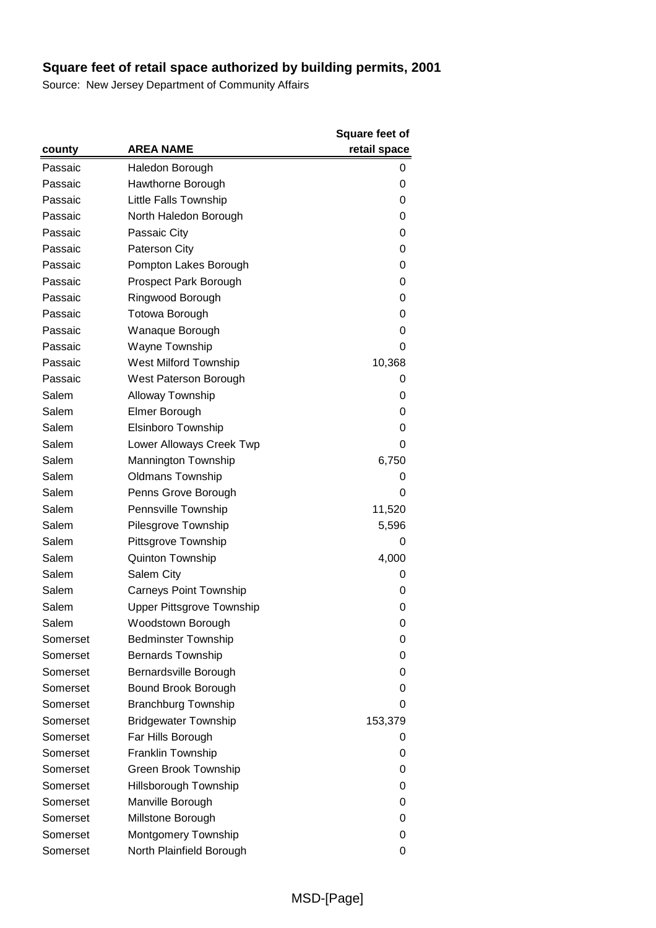|          |                               | <b>Square feet of</b> |
|----------|-------------------------------|-----------------------|
| county   | <b>AREA NAME</b>              | retail space          |
| Passaic  | Haledon Borough               | 0                     |
| Passaic  | Hawthorne Borough             | 0                     |
| Passaic  | <b>Little Falls Township</b>  | 0                     |
| Passaic  | North Haledon Borough         | 0                     |
| Passaic  | Passaic City                  | 0                     |
| Passaic  | Paterson City                 | 0                     |
| Passaic  | Pompton Lakes Borough         | 0                     |
| Passaic  | Prospect Park Borough         | 0                     |
| Passaic  | Ringwood Borough              | 0                     |
| Passaic  | <b>Totowa Borough</b>         | 0                     |
| Passaic  | Wanaque Borough               | 0                     |
| Passaic  | Wayne Township                | 0                     |
| Passaic  | West Milford Township         | 10,368                |
| Passaic  | West Paterson Borough         | 0                     |
| Salem    | <b>Alloway Township</b>       | 0                     |
| Salem    | Elmer Borough                 | 0                     |
| Salem    | Elsinboro Township            | 0                     |
| Salem    | Lower Alloways Creek Twp      | 0                     |
| Salem    | Mannington Township           | 6,750                 |
| Salem    | <b>Oldmans Township</b>       | 0                     |
| Salem    | Penns Grove Borough           | 0                     |
| Salem    | Pennsville Township           | 11,520                |
| Salem    | Pilesgrove Township           | 5,596                 |
| Salem    | Pittsgrove Township           | 0                     |
| Salem    | <b>Quinton Township</b>       | 4,000                 |
| Salem    | Salem City                    | 0                     |
| Salem    | <b>Carneys Point Township</b> | 0                     |
| Salem    | Upper Pittsgrove Township     | 0                     |
| Salem    | Woodstown Borough             | 0                     |
| Somerset | <b>Bedminster Township</b>    | 0                     |
| Somerset | <b>Bernards Township</b>      | 0                     |
| Somerset | Bernardsville Borough         | 0                     |
| Somerset | Bound Brook Borough           | 0                     |
| Somerset | <b>Branchburg Township</b>    | 0                     |
| Somerset | <b>Bridgewater Township</b>   | 153,379               |
| Somerset | Far Hills Borough             | O                     |
| Somerset | Franklin Township             | 0                     |
| Somerset | Green Brook Township          | 0                     |
| Somerset | Hillsborough Township         | 0                     |
| Somerset | Manville Borough              | 0                     |
| Somerset | Millstone Borough             | 0                     |
| Somerset | Montgomery Township           | 0                     |
| Somerset | North Plainfield Borough      | 0                     |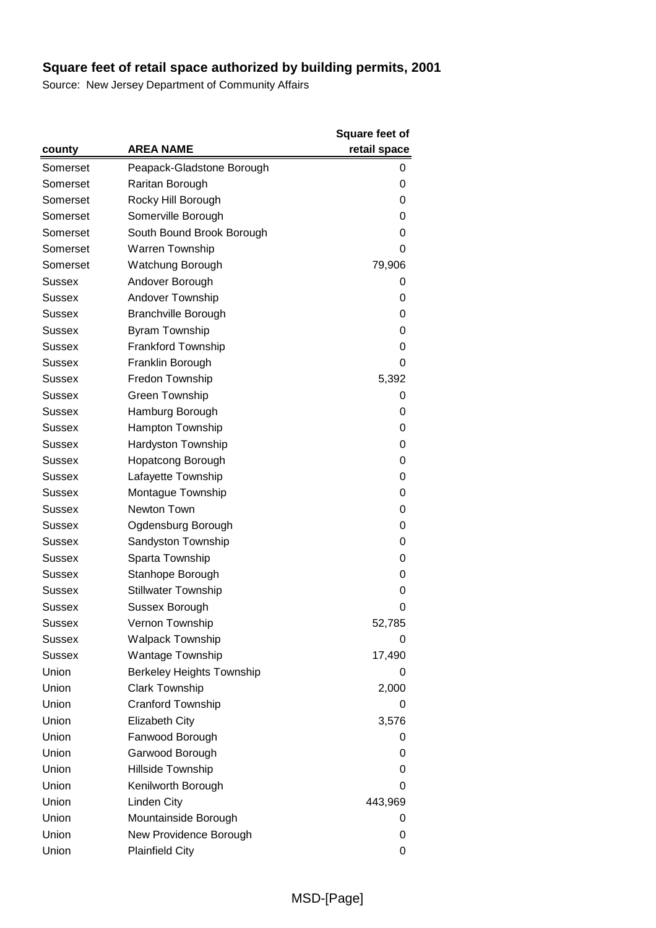|               |                                  | <b>Square feet of</b> |
|---------------|----------------------------------|-----------------------|
| county        | <b>AREA NAME</b>                 | retail space          |
| Somerset      | Peapack-Gladstone Borough        | 0                     |
| Somerset      | Raritan Borough                  | 0                     |
| Somerset      | Rocky Hill Borough               | 0                     |
| Somerset      | Somerville Borough               | 0                     |
| Somerset      | South Bound Brook Borough        | 0                     |
| Somerset      | <b>Warren Township</b>           | 0                     |
| Somerset      | Watchung Borough                 | 79,906                |
| Sussex        | Andover Borough                  | O                     |
| Sussex        | Andover Township                 | 0                     |
| Sussex        | <b>Branchville Borough</b>       | 0                     |
| Sussex        | Byram Township                   | 0                     |
| Sussex        | <b>Frankford Township</b>        | 0                     |
| Sussex        | Franklin Borough                 | 0                     |
| <b>Sussex</b> | Fredon Township                  | 5,392                 |
| Sussex        | Green Township                   | 0                     |
| Sussex        | Hamburg Borough                  | 0                     |
| Sussex        | Hampton Township                 | 0                     |
| Sussex        | Hardyston Township               | 0                     |
| <b>Sussex</b> | <b>Hopatcong Borough</b>         | 0                     |
| Sussex        | Lafayette Township               | 0                     |
| Sussex        | Montague Township                | 0                     |
| Sussex        | Newton Town                      | 0                     |
| Sussex        | Ogdensburg Borough               | 0                     |
| Sussex        | Sandyston Township               | 0                     |
| Sussex        | Sparta Township                  | 0                     |
| Sussex        | Stanhope Borough                 | 0                     |
| Sussex        | <b>Stillwater Township</b>       | 0                     |
| Sussex        | Sussex Borough                   | 0                     |
| Sussex        | Vernon Township                  | 52,785                |
| Sussex        | <b>Walpack Township</b>          | 0                     |
| <b>Sussex</b> | Wantage Township                 | 17,490                |
| Union         | <b>Berkeley Heights Township</b> | O                     |
| Union         | <b>Clark Township</b>            | 2,000                 |
| Union         | <b>Cranford Township</b>         | 0                     |
| Union         | <b>Elizabeth City</b>            | 3,576                 |
| Union         | Fanwood Borough                  | 0                     |
| Union         | Garwood Borough                  | 0                     |
| Union         | Hillside Township                | 0                     |
| Union         | Kenilworth Borough               | 0                     |
| Union         | Linden City                      | 443,969               |
| Union         | Mountainside Borough             | 0                     |
| Union         | New Providence Borough           | 0                     |
| Union         | <b>Plainfield City</b>           | 0                     |